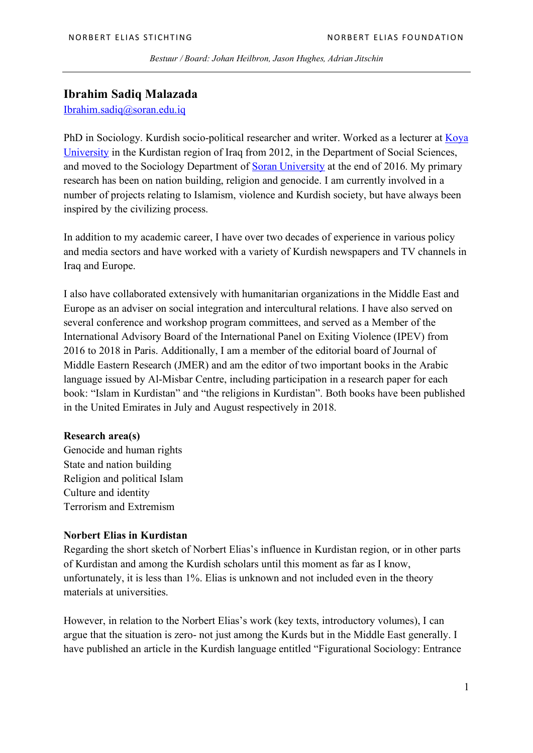*Bestuur / Board: Johan Heilbron, Jason Hughes, Adrian Jitschin*

## **Ibrahim Sadiq Malazada**

Ibrahim.sadiq@soran.edu.iq

PhD in Sociology. Kurdish socio-political researcher and writer. Worked as a lecturer at Koya University in the Kurdistan region of Iraq from 2012, in the Department of Social Sciences, and moved to the Sociology Department of Soran University at the end of 2016. My primary research has been on nation building, religion and genocide. I am currently involved in a number of projects relating to Islamism, violence and Kurdish society, but have always been inspired by the civilizing process.

In addition to my academic career, I have over two decades of experience in various policy and media sectors and have worked with a variety of Kurdish newspapers and TV channels in Iraq and Europe.

I also have collaborated extensively with humanitarian organizations in the Middle East and Europe as an adviser on social integration and intercultural relations. I have also served on several conference and workshop program committees, and served as a Member of the International Advisory Board of the International Panel on Exiting Violence (IPEV) from 2016 to 2018 in Paris. Additionally, I am a member of the editorial board of Journal of Middle Eastern Research (JMER) and am the editor of two important books in the Arabic language issued by Al-Misbar Centre, including participation in a research paper for each book: "Islam in Kurdistan" and "the religions in Kurdistan". Both books have been published in the United Emirates in July and August respectively in 2018.

## **Research area(s)**

Genocide and human rights State and nation building Religion and political Islam Culture and identity Terrorism and Extremism

## **Norbert Elias in Kurdistan**

Regarding the short sketch of Norbert Elias's influence in Kurdistan region, or in other parts of Kurdistan and among the Kurdish scholars until this moment as far as I know, unfortunately, it is less than 1%. Elias is unknown and not included even in the theory materials at universities.

However, in relation to the Norbert Elias's work (key texts, introductory volumes), I can argue that the situation is zero- not just among the Kurds but in the Middle East generally. I have published an article in the Kurdish language entitled "Figurational Sociology: Entrance